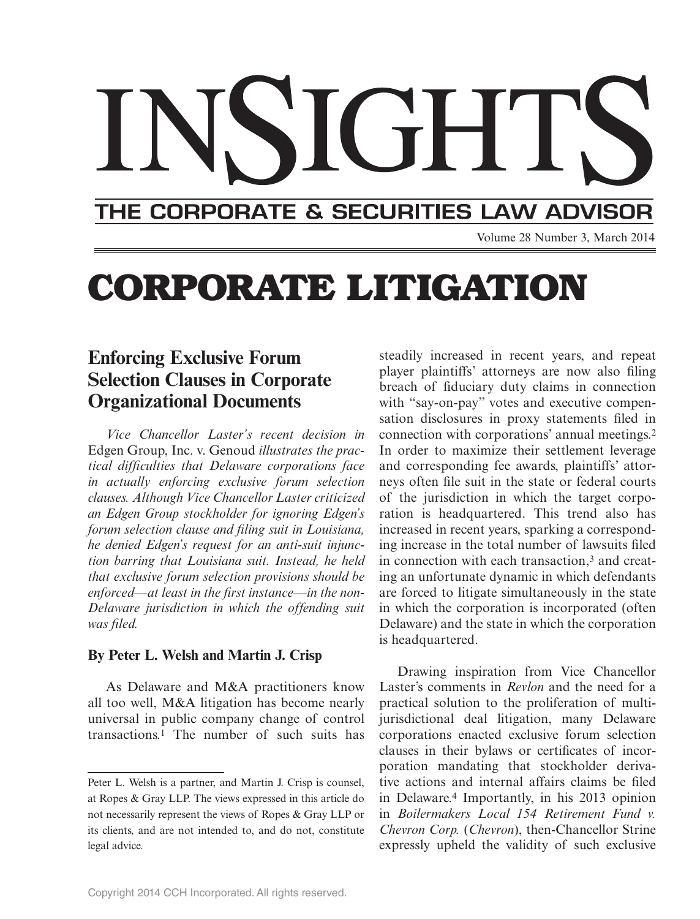# THE CORPORATE & SECURITIES LAW ADVISOR

Volume 28 Number 3, March 2014

# **CORPORATE LITIGATION**

# **Enforcing Exclusive Forum Selection Clauses in Corporate Organizational Documents**

*Vice Chancellor Laster's recent decision in*  Edgen Group, Inc. v. Genoud *illustrates the practical diffi culties that Delaware corporations face in actually enforcing exclusive forum selection clauses. Although Vice Chancellor Laster criticized an Edgen Group stockholder for ignoring Edgen's forum selection clause and filing suit in Louisiana, he denied Edgen's request for an anti-suit injunction barring that Louisiana suit. Instead, he held that exclusive forum selection provisions should be*  enforced—at least in the first instance—in the non-*Delaware jurisdiction in which the offending suit was fi led.*

#### **By Peter L. Welsh and Martin J. Crisp**

As Delaware and M&A practitioners know all too well, M&A litigation has become nearly universal in public company change of control transactions.1 The number of such suits has steadily increased in recent years, and repeat player plaintiffs' attorneys are now also filing breach of fiduciary duty claims in connection with "say-on-pay" votes and executive compensation disclosures in proxy statements filed in connection with corporations' annual meetings.2 In order to maximize their settlement leverage and corresponding fee awards, plaintiffs' attorneys often file suit in the state or federal courts of the jurisdiction in which the target corporation is headquartered. This trend also has increased in recent years, sparking a corresponding increase in the total number of lawsuits filed in connection with each transaction,3 and creating an unfortunate dynamic in which defendants are forced to litigate simultaneously in the state in which the corporation is incorporated (often Delaware) and the state in which the corporation is headquartered.

Drawing inspiration from Vice Chancellor Laster's comments in *Revlon* and the need for a practical solution to the proliferation of multijurisdictional deal litigation, many Delaware corporations enacted exclusive forum selection clauses in their bylaws or certificates of incorporation mandating that stockholder derivative actions and internal affairs claims be filed in Delaware.4 Importantly, in his 2013 opinion in *Boilermakers Local 154 Retirement Fund v. Chevron Corp.* (*Chevron*), then-Chancellor Strine expressly upheld the validity of such exclusive

Peter L. Welsh is a partner, and Martin J. Crisp is counsel, at Ropes & Gray LLP. The views expressed in this article do not necessarily represent the views of Ropes & Gray LLP or its clients, and are not intended to, and do not, constitute legal advice.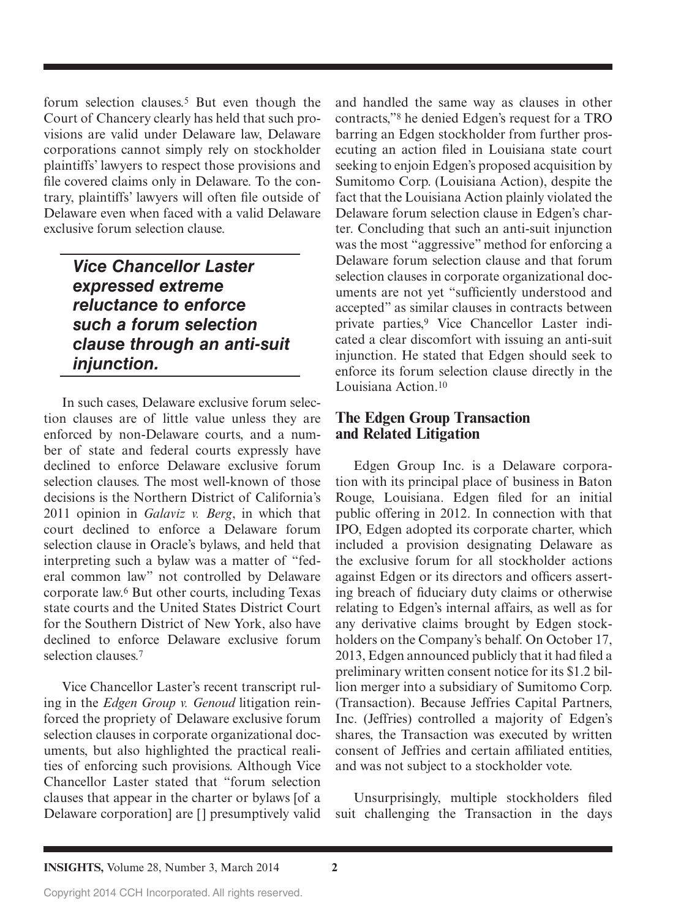forum selection clauses.5 But even though the Court of Chancery clearly has held that such provisions are valid under Delaware law, Delaware corporations cannot simply rely on stockholder plaintiffs' lawyers to respect those provisions and file covered claims only in Delaware. To the contrary, plaintiffs' lawyers will often file outside of Delaware even when faced with a valid Delaware exclusive forum selection clause.

*Vice Chancellor Laster expressed extreme reluctance to enforce such a forum selection clause through an anti-suit injunction.*

In such cases, Delaware exclusive forum selection clauses are of little value unless they are enforced by non-Delaware courts, and a number of state and federal courts expressly have declined to enforce Delaware exclusive forum selection clauses. The most well-known of those decisions is the Northern District of California's 2011 opinion in *Galaviz v. Berg*, in which that court declined to enforce a Delaware forum selection clause in Oracle's bylaws, and held that interpreting such a bylaw was a matter of "federal common law" not controlled by Delaware corporate law.6 But other courts, including Texas state courts and the United States District Court for the Southern District of New York, also have declined to enforce Delaware exclusive forum selection clauses.7

Vice Chancellor Laster's recent transcript ruling in the *Edgen Group v. Genoud* litigation reinforced the propriety of Delaware exclusive forum selection clauses in corporate organizational documents, but also highlighted the practical realities of enforcing such provisions. Although Vice Chancellor Laster stated that "forum selection clauses that appear in the charter or bylaws [of a Delaware corporation] are [] presumptively valid

and handled the same way as clauses in other contracts,"8 he denied Edgen's request for a TRO barring an Edgen stockholder from further prosecuting an action filed in Louisiana state court seeking to enjoin Edgen's proposed acquisition by Sumitomo Corp. (Louisiana Action), despite the fact that the Louisiana Action plainly violated the Delaware forum selection clause in Edgen's charter. Concluding that such an anti-suit injunction was the most "aggressive" method for enforcing a Delaware forum selection clause and that forum selection clauses in corporate organizational documents are not yet "sufficiently understood and accepted" as similar clauses in contracts between private parties,9 Vice Chancellor Laster indicated a clear discomfort with issuing an anti-suit injunction. He stated that Edgen should seek to enforce its forum selection clause directly in the Louisiana Action<sup>10</sup>

#### **The Edgen Group Transaction and Related Litigation**

Edgen Group Inc. is a Delaware corporation with its principal place of business in Baton Rouge, Louisiana. Edgen filed for an initial public offering in 2012. In connection with that IPO, Edgen adopted its corporate charter, which included a provision designating Delaware as the exclusive forum for all stockholder actions against Edgen or its directors and officers asserting breach of fiduciary duty claims or otherwise relating to Edgen's internal affairs, as well as for any derivative claims brought by Edgen stockholders on the Company's behalf. On October 17, 2013, Edgen announced publicly that it had filed a preliminary written consent notice for its \$1.2 billion merger into a subsidiary of Sumitomo Corp. (Transaction). Because Jeffries Capital Partners, Inc. (Jeffries) controlled a majority of Edgen's shares, the Transaction was executed by written consent of Jeffries and certain affiliated entities, and was not subject to a stockholder vote.

Unsurprisingly, multiple stockholders filed suit challenging the Transaction in the days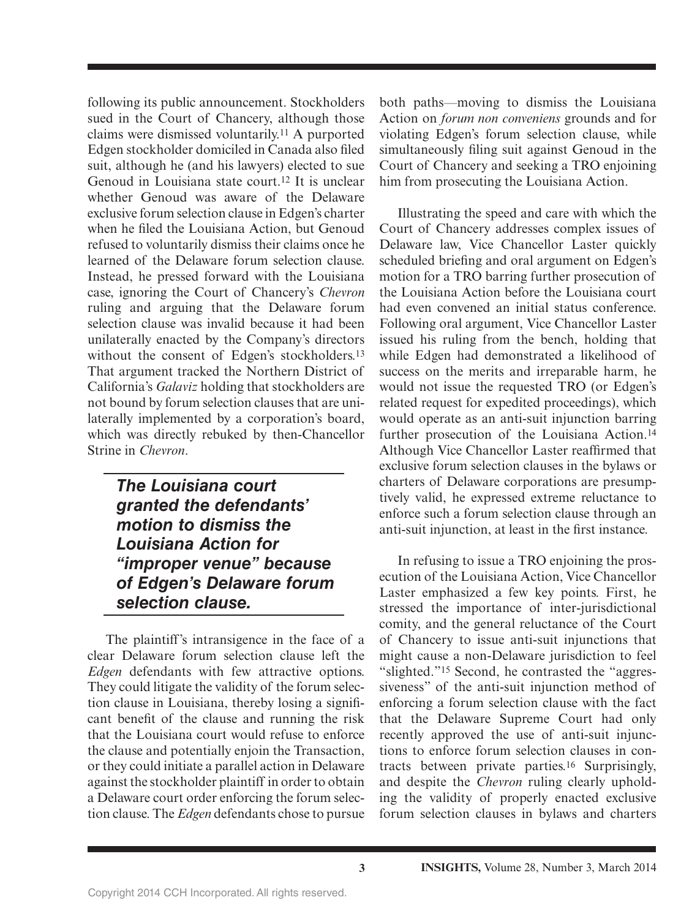following its public announcement. Stockholders sued in the Court of Chancery, although those claims were dismissed voluntarily.11 A purported Edgen stockholder domiciled in Canada also filed suit, although he (and his lawyers) elected to sue Genoud in Louisiana state court.12 It is unclear whether Genoud was aware of the Delaware exclusive forum selection clause in Edgen's charter when he filed the Louisiana Action, but Genoud refused to voluntarily dismiss their claims once he learned of the Delaware forum selection clause. Instead, he pressed forward with the Louisiana case, ignoring the Court of Chancery's *Chevron* ruling and arguing that the Delaware forum selection clause was invalid because it had been unilaterally enacted by the Company's directors without the consent of Edgen's stockholders.<sup>13</sup> That argument tracked the Northern District of California's *Galaviz* holding that stockholders are not bound by forum selection clauses that are unilaterally implemented by a corporation's board, which was directly rebuked by then-Chancellor Strine in *Chevron*.

### *The Louisiana court granted the defendants' motion to dismiss the Louisiana Action for "improper venue" because of Edgen's Delaware forum selection clause.*

The plaintiff's intransigence in the face of a clear Delaware forum selection clause left the *Edgen* defendants with few attractive options. They could litigate the validity of the forum selection clause in Louisiana, thereby losing a significant benefit of the clause and running the risk that the Louisiana court would refuse to enforce the clause and potentially enjoin the Transaction, or they could initiate a parallel action in Delaware against the stockholder plaintiff in order to obtain a Delaware court order enforcing the forum selection clause. The *Edgen* defendants chose to pursue

both paths—moving to dismiss the Louisiana Action on *forum non conveniens* grounds and for violating Edgen's forum selection clause, while simultaneously filing suit against Genoud in the Court of Chancery and seeking a TRO enjoining him from prosecuting the Louisiana Action.

Illustrating the speed and care with which the Court of Chancery addresses complex issues of Delaware law, Vice Chancellor Laster quickly scheduled briefing and oral argument on Edgen's motion for a TRO barring further prosecution of the Louisiana Action before the Louisiana court had even convened an initial status conference. Following oral argument, Vice Chancellor Laster issued his ruling from the bench, holding that while Edgen had demonstrated a likelihood of success on the merits and irreparable harm, he would not issue the requested TRO (or Edgen's related request for expedited proceedings), which would operate as an anti-suit injunction barring further prosecution of the Louisiana Action.14 Although Vice Chancellor Laster reaffirmed that exclusive forum selection clauses in the bylaws or charters of Delaware corporations are presumptively valid, he expressed extreme reluctance to enforce such a forum selection clause through an anti-suit injunction, at least in the first instance.

In refusing to issue a TRO enjoining the prosecution of the Louisiana Action, Vice Chancellor Laster emphasized a few key points. First, he stressed the importance of inter-jurisdictional comity, and the general reluctance of the Court of Chancery to issue anti-suit injunctions that might cause a non-Delaware jurisdiction to feel "slighted."15 Second, he contrasted the "aggressiveness" of the anti-suit injunction method of enforcing a forum selection clause with the fact that the Delaware Supreme Court had only recently approved the use of anti-suit injunctions to enforce forum selection clauses in contracts between private parties.16 Surprisingly, and despite the *Chevron* ruling clearly upholding the validity of properly enacted exclusive forum selection clauses in bylaws and charters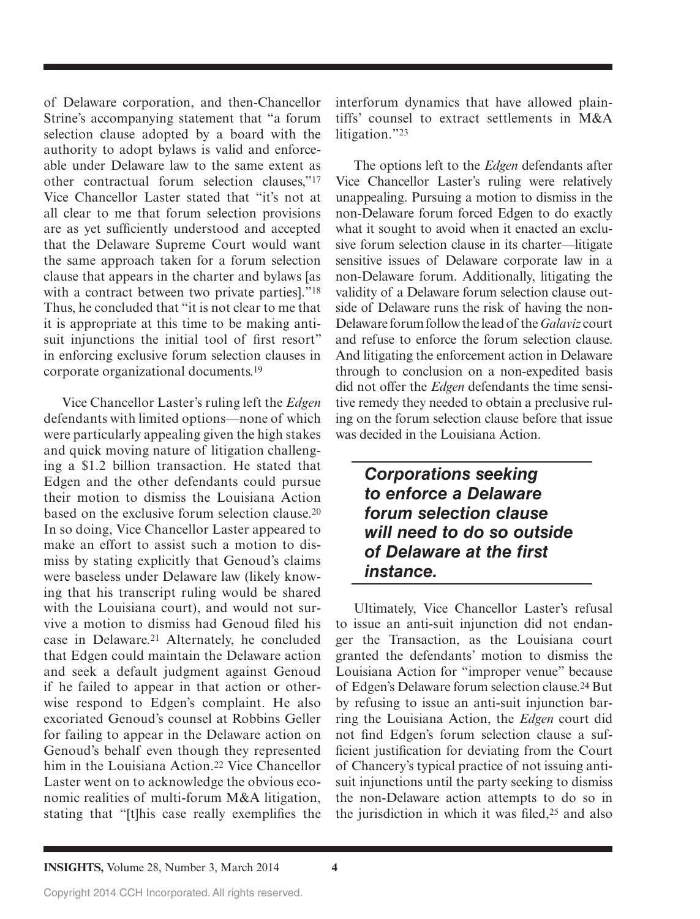of Delaware corporation, and then-Chancellor Strine's accompanying statement that "a forum selection clause adopted by a board with the authority to adopt bylaws is valid and enforceable under Delaware law to the same extent as other contractual forum selection clauses,"17 Vice Chancellor Laster stated that "it's not at all clear to me that forum selection provisions are as yet sufficiently understood and accepted that the Delaware Supreme Court would want the same approach taken for a forum selection clause that appears in the charter and bylaws [as with a contract between two private parties]."<sup>18</sup> Thus, he concluded that "it is not clear to me that it is appropriate at this time to be making antisuit injunctions the initial tool of first resort" in enforcing exclusive forum selection clauses in corporate organizational documents.19

Vice Chancellor Laster's ruling left the *Edgen* defendants with limited options—none of which were particularly appealing given the high stakes and quick moving nature of litigation challenging a \$1.2 billion transaction. He stated that Edgen and the other defendants could pursue their motion to dismiss the Louisiana Action based on the exclusive forum selection clause.20 In so doing, Vice Chancellor Laster appeared to make an effort to assist such a motion to dismiss by stating explicitly that Genoud's claims were baseless under Delaware law (likely knowing that his transcript ruling would be shared with the Louisiana court), and would not survive a motion to dismiss had Genoud filed his case in Delaware.21 Alternately, he concluded that Edgen could maintain the Delaware action and seek a default judgment against Genoud if he failed to appear in that action or otherwise respond to Edgen's complaint. He also excoriated Genoud's counsel at Robbins Geller for failing to appear in the Delaware action on Genoud's behalf even though they represented him in the Louisiana Action.22 Vice Chancellor Laster went on to acknowledge the obvious economic realities of multi-forum M&A litigation, stating that "[t]his case really exemplifies the

interforum dynamics that have allowed plaintiffs' counsel to extract settlements in M&A litigation."23

The options left to the *Edgen* defendants after Vice Chancellor Laster's ruling were relatively unappealing. Pursuing a motion to dismiss in the non-Delaware forum forced Edgen to do exactly what it sought to avoid when it enacted an exclusive forum selection clause in its charter—litigate sensitive issues of Delaware corporate law in a non-Delaware forum. Additionally, litigating the validity of a Delaware forum selection clause outside of Delaware runs the risk of having the non-Delaware forum follow the lead of the *Galaviz* court and refuse to enforce the forum selection clause. And litigating the enforcement action in Delaware through to conclusion on a non-expedited basis did not offer the *Edgen* defendants the time sensitive remedy they needed to obtain a preclusive ruling on the forum selection clause before that issue was decided in the Louisiana Action.

## *Corporations seeking to enforce a Delaware forum selection clause will need to do so outside of Delaware at the first instance.*

Ultimately, Vice Chancellor Laster's refusal to issue an anti-suit injunction did not endanger the Transaction, as the Louisiana court granted the defendants' motion to dismiss the Louisiana Action for "improper venue" because of Edgen's Delaware forum selection clause.24 But by refusing to issue an anti-suit injunction barring the Louisiana Action, the *Edgen* court did not find Edgen's forum selection clause a sufficient justification for deviating from the Court of Chancery's typical practice of not issuing antisuit injunctions until the party seeking to dismiss the non-Delaware action attempts to do so in the jurisdiction in which it was filed, $25$  and also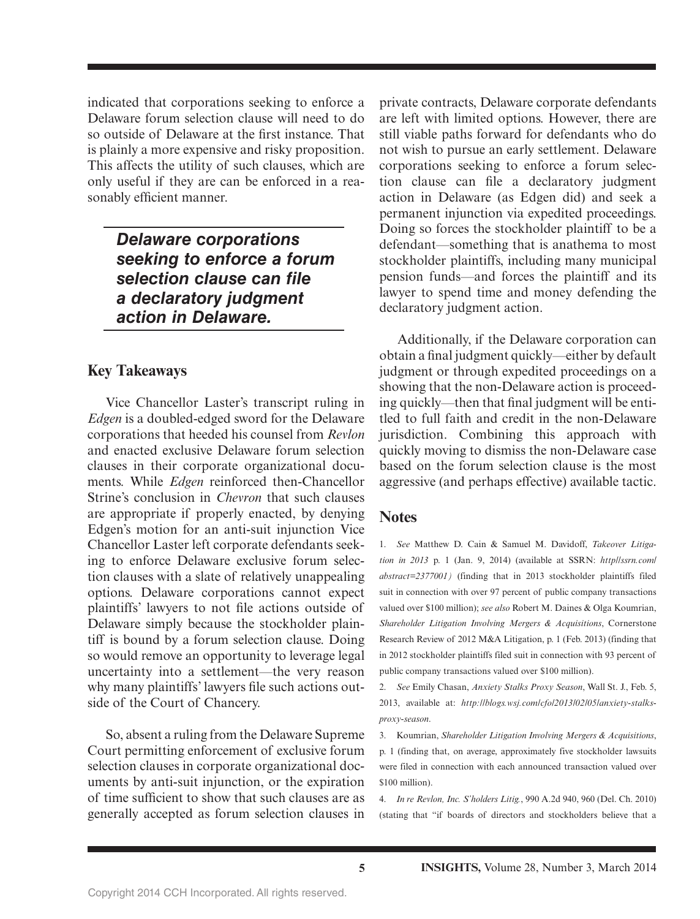indicated that corporations seeking to enforce a Delaware forum selection clause will need to do so outside of Delaware at the first instance. That is plainly a more expensive and risky proposition. This affects the utility of such clauses, which are only useful if they are can be enforced in a reasonably efficient manner.

> *Delaware corporations seeking to enforce a forum selection clause can file a declaratory judgment action in Delaware.*

#### **Key Takeaways**

Vice Chancellor Laster's transcript ruling in *Edgen* is a doubled-edged sword for the Delaware corporations that heeded his counsel from *Revlon* and enacted exclusive Delaware forum selection clauses in their corporate organizational documents. While *Edgen* reinforced then-Chancellor Strine's conclusion in *Chevron* that such clauses are appropriate if properly enacted, by denying Edgen's motion for an anti-suit injunction Vice Chancellor Laster left corporate defendants seeking to enforce Delaware exclusive forum selection clauses with a slate of relatively unappealing options. Delaware corporations cannot expect plaintiffs' lawyers to not file actions outside of Delaware simply because the stockholder plaintiff is bound by a forum selection clause. Doing so would remove an opportunity to leverage legal uncertainty into a settlement—the very reason why many plaintiffs' lawyers file such actions outside of the Court of Chancery.

So, absent a ruling from the Delaware Supreme Court permitting enforcement of exclusive forum selection clauses in corporate organizational documents by anti-suit injunction, or the expiration of time sufficient to show that such clauses are as generally accepted as forum selection clauses in

private contracts, Delaware corporate defendants are left with limited options. However, there are still viable paths forward for defendants who do not wish to pursue an early settlement. Delaware corporations seeking to enforce a forum selection clause can file a declaratory judgment action in Delaware (as Edgen did) and seek a permanent injunction via expedited proceedings. Doing so forces the stockholder plaintiff to be a defendant—something that is anathema to most stockholder plaintiffs, including many municipal pension funds—and forces the plaintiff and its lawyer to spend time and money defending the declaratory judgment action.

Additionally, if the Delaware corporation can obtain a final judgment quickly—either by default judgment or through expedited proceedings on a showing that the non-Delaware action is proceeding quickly—then that final judgment will be entitled to full faith and credit in the non-Delaware jurisdiction. Combining this approach with quickly moving to dismiss the non-Delaware case based on the forum selection clause is the most aggressive (and perhaps effective) available tactic.

#### **Notes**

1. *See* Matthew D. Cain & Samuel M. Davidoff, *Takeover Litigation in 2013* p. 1 (Jan. 9, 2014) (available at SSRN: *http//ssrn.com/ abstract=2377001)* (finding that in 2013 stockholder plaintiffs filed suit in connection with over 97 percent of public company transactions valued over \$100 million); *see also* Robert M. Daines & Olga Koumrian, *Shareholder Litigation Involving Mergers & Acquisitions*, Cornerstone Research Review of 2012 M&A Litigation, p. 1 (Feb. 2013) (finding that in 2012 stockholder plaintiffs filed suit in connection with 93 percent of public company transactions valued over \$100 million).

2. *See* Emily Chasan, *Anxiety Stalks Proxy Season*, Wall St. J., Feb. 5, 2013, available at: *http://blogs.wsj.com/cfo/2013/02/05/anxiety-stalksproxy-season*.

3. Koumrian, *Shareholder Litigation Involving Mergers & Acquisitions*, p. 1 (finding that, on average, approximately five stockholder lawsuits were filed in connection with each announced transaction valued over \$100 million).

4. *In re Revlon, Inc. S'holders Litig.*, 990 A.2d 940, 960 (Del. Ch. 2010) (stating that "if boards of directors and stockholders believe that a